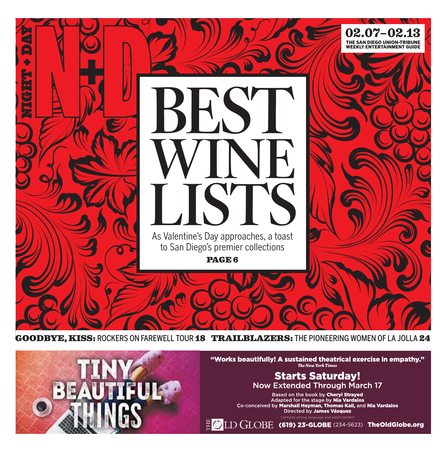

GOODBYE, KISS: ROCKERS ON FAREWELL TOUR 18 TRAILBLAZERS: THE PIONEERING WOMEN OF LA JOLLA 24

"Works beautifully! A sustained theatrical exercise in empathy."<br>The New York Times

## **Starts Saturday!** Now Extended Through March 17

Based on the book by Cheryl Strayed<br>Adapted for the stage by Nia Vardalos<br>Co-conceived by Marshall Heyman, Thomas Kail, and Nia Vardalos<br>Directed by James Vásquez

 $\frac{1}{2}$  O  $LD$   $GLOBE$  (619) 23-GLOBE (234-5623) TheOldGlobe.org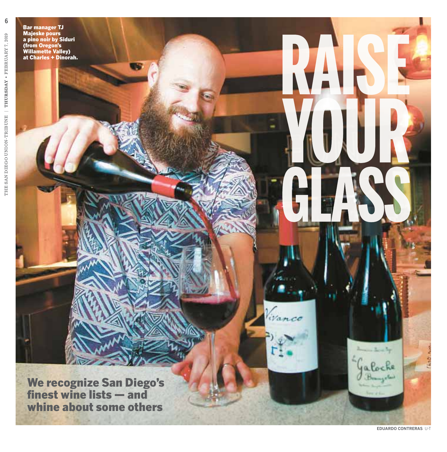Bar manager TJ Majeske pours a pino noir by Siduri (from Oregon's Willamette Valley) at Charles + Dinorah.

We recognize San Diego's finest wine lists — and whine about some others

**6**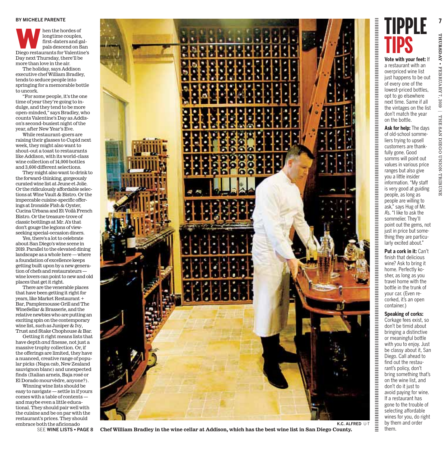#### **BY MICHELE PARENTE**

Mainting the hordes of<br>
longtime couples,<br>
first-daters and gal-<br>
pals descend on San<br>
Diego restaurants for Valentine's longtime couples, first-daters and galpals descend on San Day next Thursday, there'll be more than love in the air.

The holiday, says Addison executive chef William Bradley, tends to seduce people into springing for a memorable bottle to uncork.

"For some people, it's the one time of year they're going to indulge, and they tend to be more open-minded," says Bradley, who counts Valentine's Day as Addison's second-busiest night of the year, after New Year's Eve.

While restaurant-goers are raising their glasses to Cupid next week, they might also want to shout-out a toast to restaurants like Addison, with its world-class wine collection of 14,000 bottles and 3,600 different selections.

Theymight also want to drink to the forward-thinking, gorgeously curated wine list at Jeune et Jolie. Or the ridiculously affordable selections atWine Vault & Bistro. Or the impeccable cuisine-specific offerings at Ironside Fish& Oyster, Cucina Urbana and Et Voilà French Bistro. Or the treasure-trove of classic bottlings atMr. A's that don't gouge the legions of viewseeking special-occasion diners.

Yes, there's a lot to celebrate about San Diego's wine scene in 2019. Parallel to the elevated dining landscape as a whole here— where a foundation of excellence keeps getting built upon by a new generation of chefs and restaurateurs wine lovers can point to new and old places that get it right.

There are the venerable places that have been getting it right for years, like Market Restaurant + Bar, Pamplemousse Grill and The WineSellar & Brasserie, and the relative newbies who are putting an exciting spin on the contemporary wine list, such as Juniper  $&$  Ivy, Trust and Stake Chophouse & Bar.

Getting it right means lists that have depth *and* finesse, not just a massive trophy collection. Or, if the offerings are limited, they have a nuanced, creative range of popular picks (Napa cab, New Zealand sauvignon blanc) and unexpected finds (Italian arneis, Baja rosé or El Dorado mourvèdre, anyone?).

Winning wine lists should be easy to navigate — settle in if yours comes with a table of contents and maybe even a little educational. They should pair well with the cuisine and be on par with the restaurant's prices. They should embrace both the aficionado

SEE **WINE LISTS** • **PAGE 8**



**TIPPLE TIPS**

**Vote with your feet:** If a restaurant with an overpriced wine list just happens to be out of every one of the lowest-priced bottles, opt to go elsewhere next time. Same if all the vintages on the list don't match the year on the bottle.

**Ask for help:** The days of old-school sommeliers trying to upsell customers are thankfully gone. Good somms will point out values in various price ranges but also give you a little insider information. "My staff is very good at guiding people, as long as people are willing to ask," says Hug of Mr. A's. "I like to ask the sommelier. They'll point out the gems, not just in price but something they are particularly excited about."

**Put a cork in it:** Can't finish that delicious wine? Ask to bring it home. Perfectly kosher, as long as you travel home with the bottle in the trunk of your car. (Even recorked, it's an open container.)

Corkage fees exist, so don't be timid about bringing a distinctive or meaningful bottle with you to enjoy. Just be classy about it, San Diego. Call ahead to find out the restaurant's policy, don't bring something that's on the wine list, and don't do it just to avoid paying for wine. If a restaurant has gone to the trouble of selecting affordable wines for you, do right by them and order them.

**K.C. ALFRED** U-T

**Chef William Bradley in the wine cellar at Addison, which has the best wine list in San Diego County.**

7, 2019 | THE SAN

DIEGO

UNION-TRIBUNE